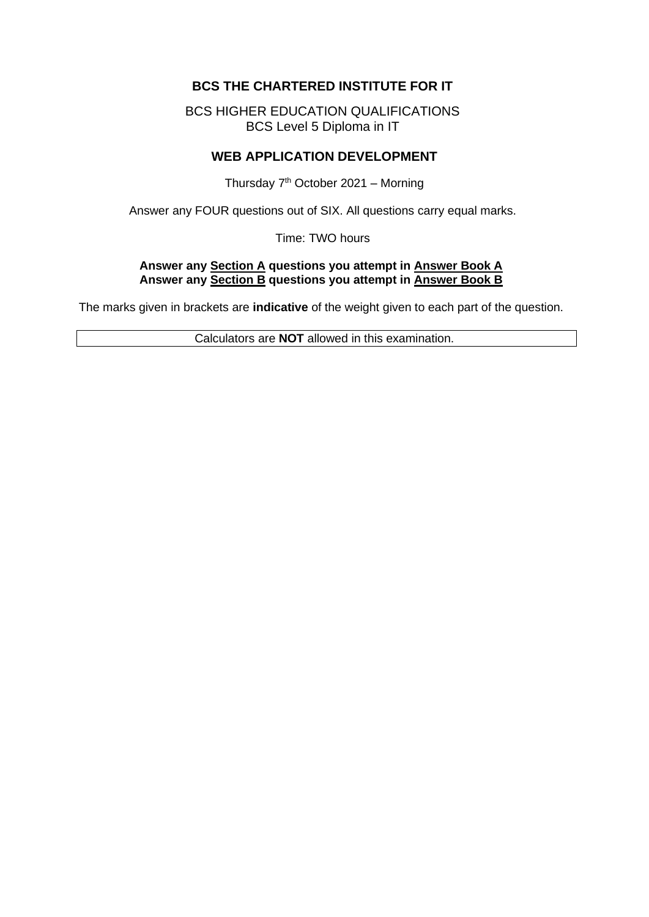# **BCS THE CHARTERED INSTITUTE FOR IT**

BCS HIGHER EDUCATION QUALIFICATIONS BCS Level 5 Diploma in IT

### **WEB APPLICATION DEVELOPMENT**

Thursday  $7<sup>th</sup>$  October 2021 – Morning

Answer any FOUR questions out of SIX. All questions carry equal marks.

Time: TWO hours

### **Answer any Section A questions you attempt in Answer Book A Answer any Section B questions you attempt in Answer Book B**

The marks given in brackets are **indicative** of the weight given to each part of the question.

Calculators are **NOT** allowed in this examination.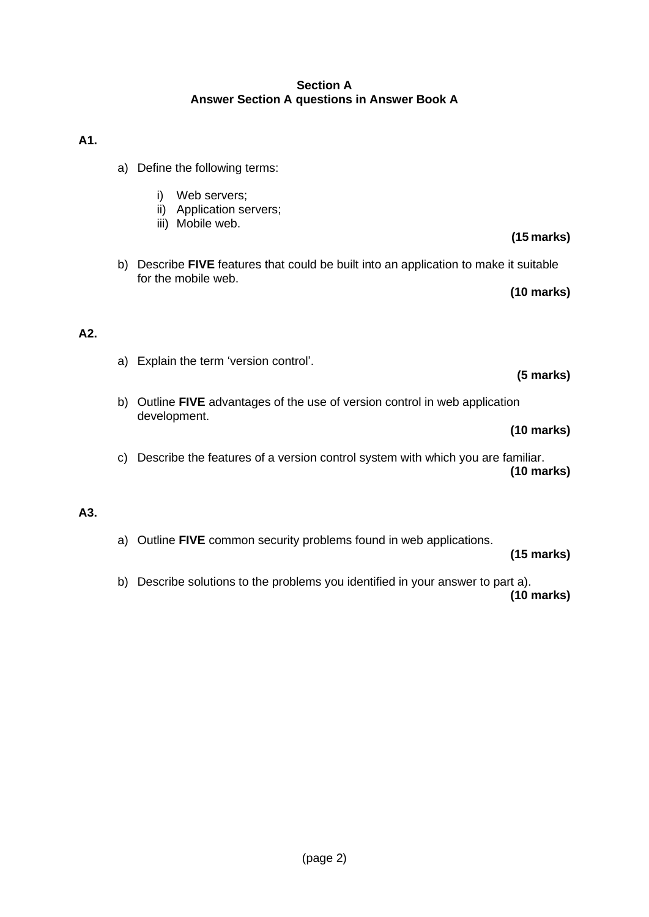### **Section A Answer Section A questions in Answer Book A**

## **A1.**

- a) Define the following terms:
	- i) Web servers;
	- ii) Application servers;
	- iii) Mobile web.
- b) Describe **FIVE** features that could be built into an application to make it suitable for the mobile web.

**(10 marks)**

**(15 marks)**

### **A2.**

a) Explain the term 'version control'.

### **(5 marks)**

b) Outline **FIVE** advantages of the use of version control in web application development.

### **(10 marks)**

c) Describe the features of a version control system with which you are familiar. **(10 marks)**

### **A3.**

a) Outline **FIVE** common security problems found in web applications.

### **(15 marks)**

b) Describe solutions to the problems you identified in your answer to part a). **(10 marks)**